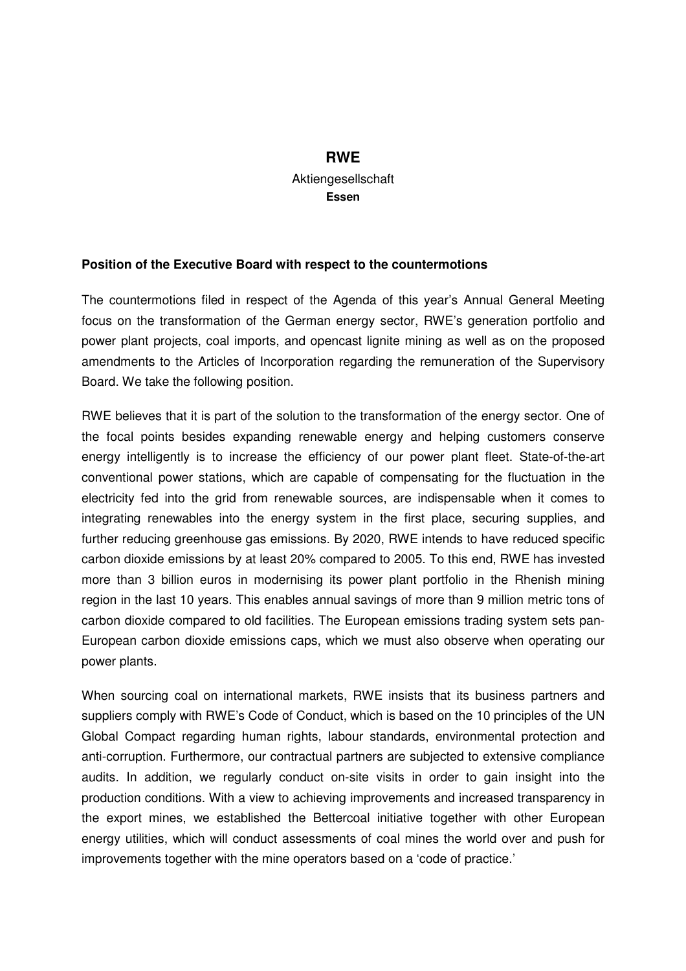## **RWE**  Aktiengesellschaft **Essen**

## **Position of the Executive Board with respect to the countermotions**

The countermotions filed in respect of the Agenda of this year's Annual General Meeting focus on the transformation of the German energy sector, RWE's generation portfolio and power plant projects, coal imports, and opencast lignite mining as well as on the proposed amendments to the Articles of Incorporation regarding the remuneration of the Supervisory Board. We take the following position.

RWE believes that it is part of the solution to the transformation of the energy sector. One of the focal points besides expanding renewable energy and helping customers conserve energy intelligently is to increase the efficiency of our power plant fleet. State-of-the-art conventional power stations, which are capable of compensating for the fluctuation in the electricity fed into the grid from renewable sources, are indispensable when it comes to integrating renewables into the energy system in the first place, securing supplies, and further reducing greenhouse gas emissions. By 2020, RWE intends to have reduced specific carbon dioxide emissions by at least 20% compared to 2005. To this end, RWE has invested more than 3 billion euros in modernising its power plant portfolio in the Rhenish mining region in the last 10 years. This enables annual savings of more than 9 million metric tons of carbon dioxide compared to old facilities. The European emissions trading system sets pan-European carbon dioxide emissions caps, which we must also observe when operating our power plants.

When sourcing coal on international markets, RWE insists that its business partners and suppliers comply with RWE's Code of Conduct, which is based on the 10 principles of the UN Global Compact regarding human rights, labour standards, environmental protection and anti-corruption. Furthermore, our contractual partners are subjected to extensive compliance audits. In addition, we regularly conduct on-site visits in order to gain insight into the production conditions. With a view to achieving improvements and increased transparency in the export mines, we established the Bettercoal initiative together with other European energy utilities, which will conduct assessments of coal mines the world over and push for improvements together with the mine operators based on a 'code of practice.'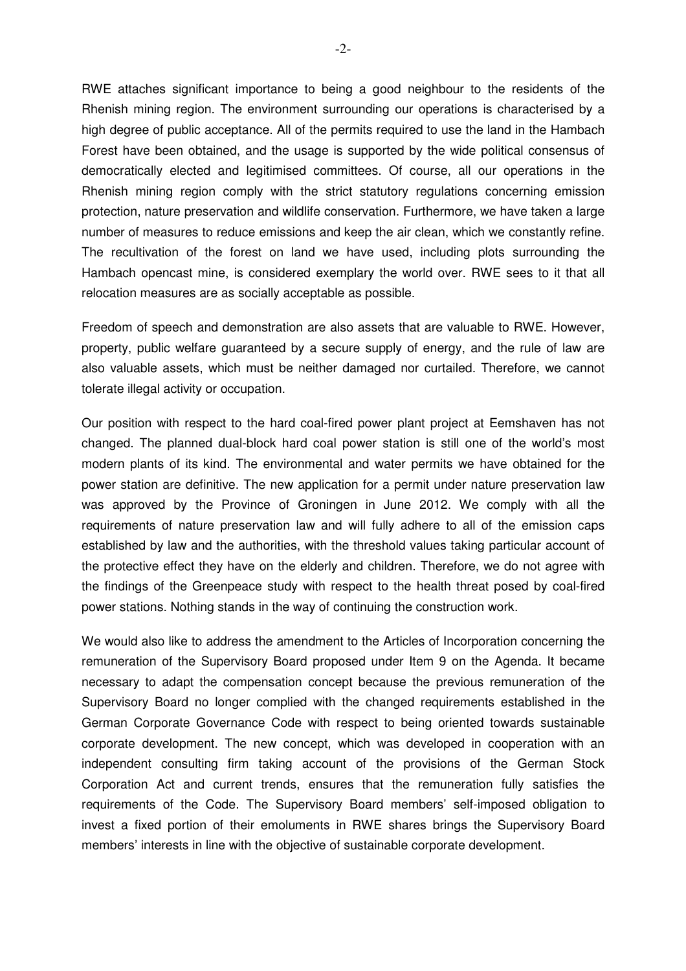RWE attaches significant importance to being a good neighbour to the residents of the Rhenish mining region. The environment surrounding our operations is characterised by a high degree of public acceptance. All of the permits required to use the land in the Hambach Forest have been obtained, and the usage is supported by the wide political consensus of democratically elected and legitimised committees. Of course, all our operations in the Rhenish mining region comply with the strict statutory regulations concerning emission protection, nature preservation and wildlife conservation. Furthermore, we have taken a large number of measures to reduce emissions and keep the air clean, which we constantly refine. The recultivation of the forest on land we have used, including plots surrounding the Hambach opencast mine, is considered exemplary the world over. RWE sees to it that all relocation measures are as socially acceptable as possible.

Freedom of speech and demonstration are also assets that are valuable to RWE. However, property, public welfare guaranteed by a secure supply of energy, and the rule of law are also valuable assets, which must be neither damaged nor curtailed. Therefore, we cannot tolerate illegal activity or occupation.

Our position with respect to the hard coal-fired power plant project at Eemshaven has not changed. The planned dual-block hard coal power station is still one of the world's most modern plants of its kind. The environmental and water permits we have obtained for the power station are definitive. The new application for a permit under nature preservation law was approved by the Province of Groningen in June 2012. We comply with all the requirements of nature preservation law and will fully adhere to all of the emission caps established by law and the authorities, with the threshold values taking particular account of the protective effect they have on the elderly and children. Therefore, we do not agree with the findings of the Greenpeace study with respect to the health threat posed by coal-fired power stations. Nothing stands in the way of continuing the construction work.

We would also like to address the amendment to the Articles of Incorporation concerning the remuneration of the Supervisory Board proposed under Item 9 on the Agenda. It became necessary to adapt the compensation concept because the previous remuneration of the Supervisory Board no longer complied with the changed requirements established in the German Corporate Governance Code with respect to being oriented towards sustainable corporate development. The new concept, which was developed in cooperation with an independent consulting firm taking account of the provisions of the German Stock Corporation Act and current trends, ensures that the remuneration fully satisfies the requirements of the Code. The Supervisory Board members' self-imposed obligation to invest a fixed portion of their emoluments in RWE shares brings the Supervisory Board members' interests in line with the objective of sustainable corporate development.